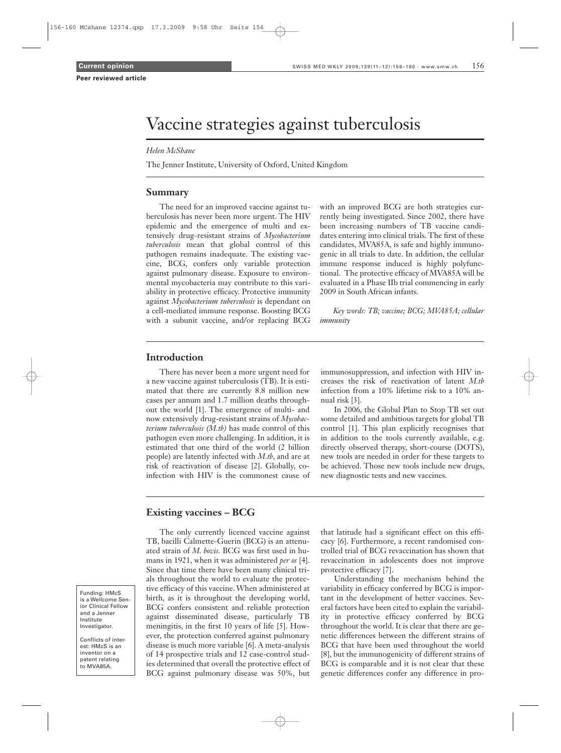# Vaccine strategies against tuberculosis

#### *Helen McShane*

The Jenner Institute, University of Oxford, United Kingdom

#### **Summary**

The need for an improved vaccine against tuberculosis has never been more urgent. The HIV epidemic and the emergence of multi and extensively drug-resistant strains of *Mycobacterium tuberculosis* mean that global control of this pathogen remains inadequate. The existing vaccine, BCG, confers only variable protection against pulmonary disease. Exposure to environmental mycobacteria may contribute to this variability in protective efficacy. Protective immunity against *Mycobacterium tuberculosis* is dependant on a cell-mediated immune response. Boosting BCG with a subunit vaccine, and/or replacing BCG

with an improved BCG are both strategies currently being investigated. Since 2002, there have been increasing numbers of TB vaccine candidates entering into clinical trials.The first of these candidates, MVA85A, is safe and highly immunogenic in all trials to date. In addition, the cellular immune response induced is highly polyfunctional. The protective efficacy of MVA85A will be evaluated in a Phase IIb trial commencing in early 2009 in South African infants.

*Key words: TB; vaccine; BCG; MVA85A; cellular immunity*

### **Introduction**

There has never been a more urgent need for a new vaccine against tuberculosis (TB). It is estimated that there are currently 8.8 million new cases per annum and 1.7 million deaths throughout the world [1]. The emergence of multi- and now extensively drug-resistant strains of *Mycobacterium tuberculosis (M.tb)* has made control of this pathogen even more challenging. In addition, it is estimated that one third of the world (2 billion people) are latently infected with *M.tb*, and are at risk of reactivation of disease [2]. Globally, coinfection with HIV is the commonest cause of immunosuppression, and infection with HIV increases the risk of reactivation of latent *M.tb* infection from a 10% lifetime risk to a 10% annual risk [3].

In 2006, the Global Plan to Stop TB set out some detailed and ambitious targets for global TB control [1]. This plan explicitly recognises that in addition to the tools currently available, e.g. directly observed therapy, short-course (DOTS), new tools are needed in order for these targets to be achieved. Those new tools include new drugs, new diagnostic tests and new vaccines.

## **Existing vaccines – BCG**

The only currently licenced vaccine against TB, bacilli Calmette-Guerin (BCG) is an attenuated strain of *M. bovis.* BCG was first used in humans in 1921, when it was administered *per os* [4]. Since that time there have been many clinical trials throughout the world to evaluate the protective efficacy of this vaccine.When administered at birth, as it is throughout the developing world, BCG confers consistent and reliable protection against disseminated disease, particularly TB meningitis, in the first 10 years of life [5]. However, the protection conferred against pulmonary disease is much more variable [6]. A meta-analysis of 14 prospective trials and 12 case-control studies determined that overall the protective effect of BCG against pulmonary disease was 50%, but

that latitude had a significant effect on this efficacy [6]. Furthermore, a recent randomised controlled trial of BCG revaccination has shown that revaccination in adolescents does not improve protective efficacy [7].

Understanding the mechanism behind the variability in efficacy conferred by BCG is important in the development of better vaccines. Several factors have been cited to explain the variability in protective efficacy conferred by BCG throughout the world. It is clear that there are genetic differences between the different strains of BCG that have been used throughout the world [8], but the immunogenicity of different strains of BCG is comparable and it is not clear that these genetic differences confer any difference in pro-

Funding: HMcS is a Wellcome Senior Clinical Fellow and a Jenner Institute Investigator.

Conflicts of interest: HMcS is an inventor on a patent relating to MVA85A.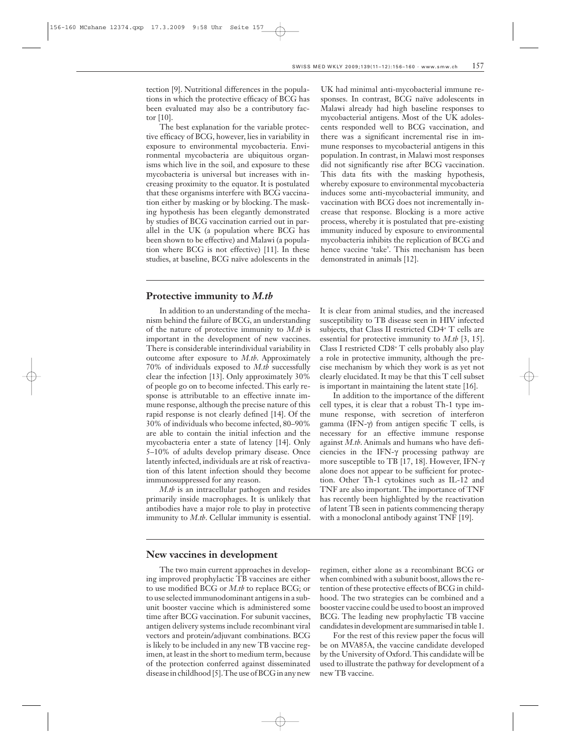tection [9]. Nutritional differences in the populations in which the protective efficacy of BCG has been evaluated may also be a contributory factor [10].

The best explanation for the variable protective efficacy of BCG, however, lies in variability in exposure to environmental mycobacteria. Environmental mycobacteria are ubiquitous organisms which live in the soil, and exposure to these mycobacteria is universal but increases with increasing proximity to the equator. It is postulated that these organisms interfere with BCG vaccination either by masking or by blocking. The masking hypothesis has been elegantly demonstrated by studies of BCG vaccination carried out in parallel in the UK (a population where BCG has been shown to be effective) and Malawi (a population where BCG is not effective) [11]. In these studies, at baseline, BCG naïve adolescents in the

#### **Protective immunity to** *M.tb*

In addition to an understanding of the mechanism behind the failure of BCG, an understanding of the nature of protective immunity to *M.tb* is important in the development of new vaccines. There is considerable interindividual variability in outcome after exposure to *M.tb*. Approximately 70% of individuals exposed to *M.tb* successfully clear the infection [13]. Only approximately 30% of people go on to become infected. This early response is attributable to an effective innate immune response, although the precise nature of this rapid response is not clearly defined [14]. Of the 30% of individuals who become infected, 80–90% are able to contain the initial infection and the mycobacteria enter a state of latency [14]. Only 5–10% of adults develop primary disease. Once latently infected, individuals are at risk of reactivation of this latent infection should they become immunosuppressed for any reason.

*M.tb* is an intracellular pathogen and resides primarily inside macrophages. It is unlikely that antibodies have a major role to play in protective immunity to *M.tb*. Cellular immunity is essential. UK had minimal anti-mycobacterial immune responses. In contrast, BCG naïve adolescents in Malawi already had high baseline responses to mycobacterial antigens. Most of the UK adolescents responded well to BCG vaccination, and there was a significant incremental rise in immune responses to mycobacterial antigens in this population. In contrast, in Malawi most responses did not significantly rise after BCG vaccination. This data fits with the masking hypothesis, whereby exposure to environmental mycobacteria induces some anti-mycobacterial immunity, and vaccination with BCG does not incrementally increase that response. Blocking is a more active process, whereby it is postulated that pre-existing immunity induced by exposure to environmental mycobacteria inhibits the replication of BCG and hence vaccine 'take'. This mechanism has been demonstrated in animals [12].

It is clear from animal studies, and the increased susceptibility to TB disease seen in HIV infected subjects, that Class II restricted CD4<sup>+</sup> T cells are essential for protective immunity to *M.tb* [3, 15]. Class I restricted CD8<sup>+</sup> T cells probably also play a role in protective immunity, although the precise mechanism by which they work is as yet not clearly elucidated. It may be that this T cell subset is important in maintaining the latent state [16].

In addition to the importance of the different cell types, it is clear that a robust Th-1 type immune response, with secretion of interferon gamma (IFN- $\gamma$ ) from antigen specific T cells, is necessary for an effective immune response against *M.tb*. Animals and humans who have deficiencies in the IFN- $\gamma$  processing pathway are more susceptible to TB [17, 18]. However, IFN-g alone does not appear to be sufficient for protection. Other Th-1 cytokines such as IL-12 and TNF are also important. The importance of TNF has recently been highlighted by the reactivation of latent TB seen in patients commencing therapy with a monoclonal antibody against TNF [19].

### **New vaccines in development**

The two main current approaches in developing improved prophylactic TB vaccines are either to use modified BCG or *M.tb* to replace BCG; or to use selected immunodominant antigensina subunit booster vaccine which is administered some time after BCG vaccination. For subunit vaccines, antigendelivery systems include recombinant viral vectors and protein/adjuvant combinations. BCG is likely to be included in any new TB vaccine regimen, at least in the short to medium term, because of the protection conferred against disseminated disease in childhood [5]. The use of BCG in any new regimen, either alone as a recombinant BCG or when combined with a subunit boost, allows the retention of these protective effects of BCG in childhood. The two strategies can be combined and a booster vaccine could be used to boost animproved BCG. The leading new prophylactic TB vaccine candidates in development are summarised in table 1.

For the rest of this review paper the focus will be on MVA85A, the vaccine candidate developed by the University of Oxford.This candidate will be used to illustrate the pathway for development of a new TB vaccine.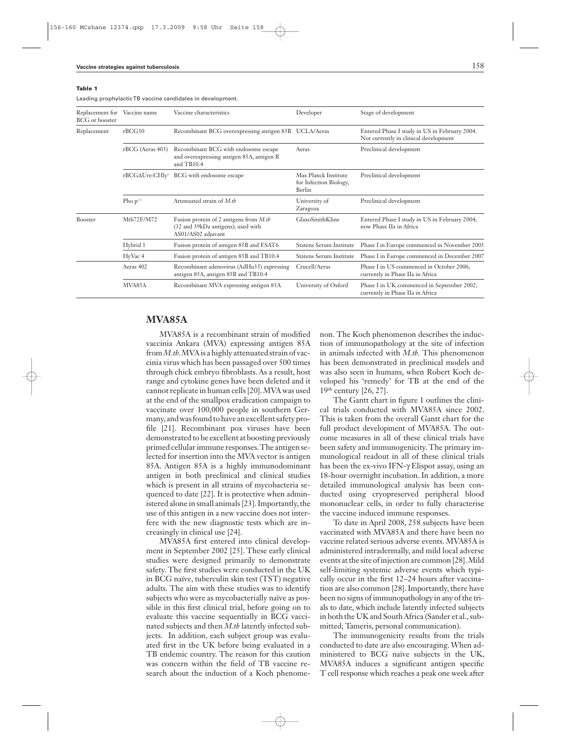#### Table 1

leading prophylacticTB vaccine candidates in development.

| Replacement for<br><b>BCG</b> or booster | Vaccine name     | Vaccine characteristics                                                                               | Developer                                                | Stage of development                                                                   |
|------------------------------------------|------------------|-------------------------------------------------------------------------------------------------------|----------------------------------------------------------|----------------------------------------------------------------------------------------|
| Replacement                              | rBCG30           | Recombinant BCG overexpressing antigen 85B UCLA/Aeras                                                 |                                                          | Entered Phase I study in US in February 2004.<br>Not currently in clinical development |
|                                          | rBCG (Aeras 403) | Recombinant BCG with endosome escape<br>and overexpressing antigen 85A, antigen B<br>and $TB10.4$     | Aeras                                                    | Preclinical development                                                                |
|                                          |                  | $rBCG\Delta U$ re: $CHly^+$ BCG with endosome escape                                                  | Max Planck Institute<br>for Infection Biology,<br>Berlin | Preclinical development                                                                |
|                                          | Pho $p^{-/-}$    | Attenuated strain of M.th                                                                             | University of<br>Zaragoza                                | Preclinical development                                                                |
| <b>Booster</b>                           | Mtb72F/M72       | Fusion protein of 2 antigens from $M$ .tb<br>(32 and 39kDa antigens); used with<br>AS01/AS02 adjuvant | GlaxoSmithKline                                          | Entered Phase I study in US in February 2004;<br>now Phase IIa in Africa               |
|                                          | Hybrid 1         | Fusion protein of antigen 85B and ESAT6                                                               | <b>Statens Serum Institute</b>                           | Phase I in Europe commenced in November 2005                                           |
|                                          | HyVac 4          | Fusion protein of antigen 85B and TB10.4                                                              | <b>Statens Serum Institute</b>                           | Phase I in Europe commenced in December 2007                                           |
|                                          | Aeras 402        | Recombinant adenovirus (AdHu35) expressing<br>antigen 85A, antigen 85B and TB10.4                     | Crucell/Aeras                                            | Phase I in US commenced in October 2006;<br>currently in Phase IIa in Africa           |
|                                          | MVA85A           | Recombinant MVA expressing antigen 85A                                                                | University of Oxford                                     | Phase I in UK commenced in September 2002;<br>currently in Phase IIa in Africa         |

## **MVA85A**

MVA85A is a recombinant strain of modified vaccinia Ankara (MVA) expressing antigen 85A from *M.tb*. MVA is a highly attenuated strain of vaccinia virus which has been passaged over 500 times through chick embryo fibroblasts. As a result, host range and cytokine genes have been deleted and it cannot replicate in human cells [20]. MVA was used at the end of the smallpox eradication campaign to vaccinate over 100,000 people in southern Germany, and was found to have an excellent safety profile [21]. Recombinant pox viruses have been demonstrated to be excellent at boosting previously primed cellular immune responses. The antigen selected for insertion into the MVA vector is antigen 85A. Antigen 85A is a highly immunodominant antigen in both preclinical and clinical studies which is present in all strains of mycobacteria sequenced to date [22]. It is protective when administered alone in small animals [23]. Importantly, the use of this antigen in a new vaccine does not interfere with the new diagnostic tests which are increasingly in clinical use [24].

MVA85A first entered into clinical development in September 2002 [25]. These early clinical studies were designed primarily to demonstrate safety. The first studies were conducted in the UK in BCG naïve, tuberculin skin test (TST) negative adults. The aim with these studies was to identify subjects who were as mycobacterially naïve as possible in this first clinical trial, before going on to evaluate this vaccine sequentially in BCG vaccinated subjects and then *M.tb* latently infected subjects. In addition, each subject group was evaluated first in the UK before being evaluated in a TB endemic country. The reason for this caution was concern within the field of TB vaccine research about the induction of a Koch phenomenon. The Koch phenomenon describes the induction of immunopathology at the site of infection in animals infected with *M.tb.* This phenomenon has been demonstrated in preclinical models and was also seen in humans, when Robert Koch developed his 'remedy' for TB at the end of the 19<sup>th</sup> century [26, 27].

The Gantt chart in figure 1 outlines the clinical trials conducted with MVA85A since 2002. This is taken from the overall Gantt chart for the full product development of MVA85A. The outcome measures in all of these clinical trials have been safety and immunogenicity. The primary immunological readout in all of these clinical trials has been the ex-vivo IFN- $\gamma$  Elispot assay, using an 18-hour overnight incubation. In addition, a more detailed immunological analysis has been conducted using cryopreserved peripheral blood mononuclear cells, in order to fully characterise the vaccine induced immune responses.

To date in April 2008, 258 subjects have been vaccinated with MVA85A and there have been no vaccine related serious adverse events. MVA85A is administered intradermally, and mild local adverse events at the site of injection are common [28]. Mild self-limiting systemic adverse events which typically occur in the first 12–24 hours after vaccination are also common [28]. Importantly, there have been no signs of immunopathology in any of the trials to date, which include latently infected subjects in both the UK and South Africa (Sander et al., submitted; Tameris, personal communication).

The immunogenicity results from the trials conducted to date are also encouraging.When administered to BCG naïve subjects in the UK, MVA85A induces a significant antigen specific T cell response which reaches a peak one week after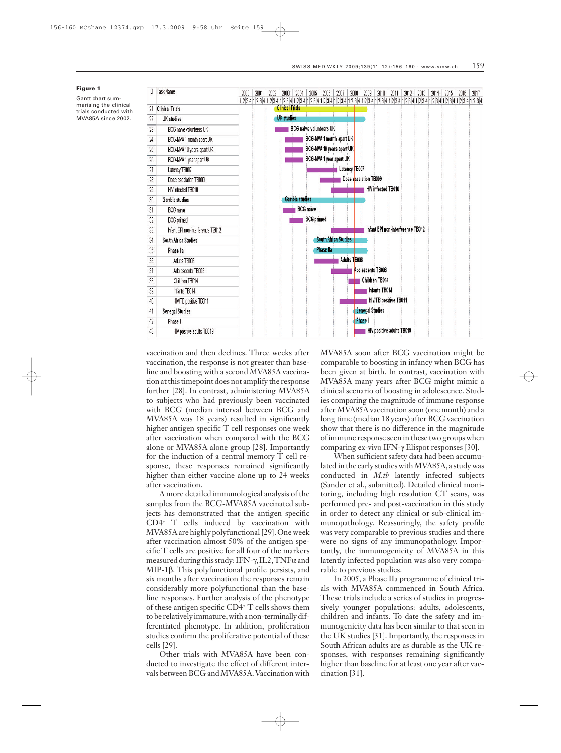#### Figure 1

Gantt chart summarising the clinical trials conducted with MVA85A since 2002.



vaccination and then declines. Three weeks after vaccination, the response is not greater than baseline and boosting with a second MVA85A vaccination at this timepoint does not amplify the response further [28]. In contrast, administering MVA85A to subjects who had previously been vaccinated with BCG (median interval between BCG and MVA85A was 18 years) resulted in significantly higher antigen specific T cell responses one week after vaccination when compared with the BCG alone or MVA85A alone group [28]. Importantly for the induction of a central memory T cell response, these responses remained significantly higher than either vaccine alone up to 24 weeks after vaccination.

A more detailed immunological analysis of the samples from the BCG-MVA85A vaccinated subjects has demonstrated that the antigen specific CD4<sup>+</sup> T cells induced by vaccination with MVA85Aarehighly polyfunctional [29].One week after vaccination almost 50% of the antigen specific T cells are positive for all four of the markers measured during this study: IFN- $\gamma$ , IL2, TNF $\alpha$  and MIP-1b. This polyfunctional profile persists, and six months after vaccination the responses remain considerably more polyfunctional than the baseline responses. Further analysis of the phenotype of these antigen specific CD4<sup>+</sup> T cells shows them to be relatively immature, with a non-terminally differentiated phenotype. In addition, proliferation studies confirm the proliferative potential of these cells [29].

Other trials with MVA85A have been conducted to investigate the effect of different intervals between BCG and MVA85A.Vaccination with MVA85A soon after BCG vaccination might be comparable to boosting in infancy when BCG has been given at birth. In contrast, vaccination with MVA85A many years after BCG might mimic a clinical scenario of boosting in adolescence. Studies comparing the magnitude of immune response after MVA85A vaccination soon (one month) and a long time (median 18 years) after BCG vaccination show that there is no difference in the magnitude of immune response seen in these two groups when comparing ex-vivo IFN- $\gamma$  Elispot responses [30].

When sufficient safety data had been accumulated in the early studies with MVA85A, a study was conducted in *M.tb* latently infected subjects (Sander et al., submitted). Detailed clinical monitoring, including high resolution CT scans, was performed pre- and post-vaccination in this study in order to detect any clinical or sub-clinical immunopathology. Reassuringly, the safety profile was very comparable to previous studies and there were no signs of any immunopathology. Importantly, the immunogenicity of MVA85A in this latently infected population was also very comparable to previous studies.

In 2005, a Phase IIa programme of clinical trials with MVA85A commenced in South Africa. These trials include a series of studies in progressively younger populations: adults, adolescents, children and infants. To date the safety and immunogenicity data has been similar to that seen in the UK studies [31]. Importantly, the responses in South African adults are as durable as the UK responses, with responses remaining significantly higher than baseline for at least one year after vaccination [31].